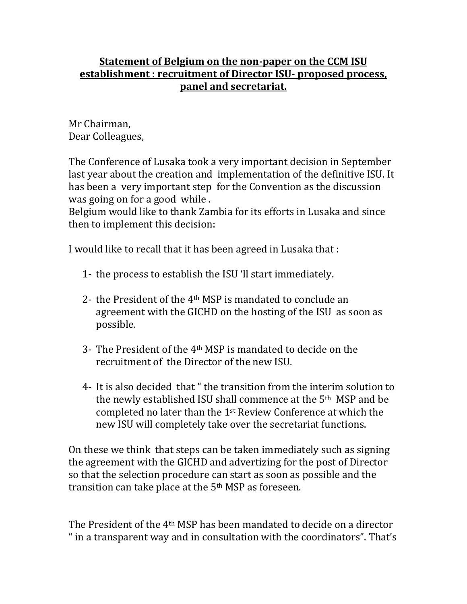## **Statement of Belgium on the non-paper on the CCM ISU establishment : recruitment of Director ISU- proposed process, panel and secretariat.**

Mr Chairman, Dear Colleagues,

The Conference of Lusaka took a very important decision in September last year about the creation and implementation of the definitive ISU. It has been a very important step for the Convention as the discussion was going on for a good while .

Belgium would like to thank Zambia for its efforts in Lusaka and since then to implement this decision:

I would like to recall that it has been agreed in Lusaka that :

- 1- the process to establish the ISU 'll start immediately.
- 2- the President of the 4th MSP is mandated to conclude an agreement with the GICHD on the hosting of the ISU as soon as possible.
- 3- The President of the 4th MSP is mandated to decide on the recruitment of the Director of the new ISU.
- 4- It is also decided that " the transition from the interim solution to the newly established ISU shall commence at the 5th MSP and be completed no later than the 1st Review Conference at which the new ISU will completely take over the secretariat functions.

On these we think that steps can be taken immediately such as signing the agreement with the GICHD and advertizing for the post of Director so that the selection procedure can start as soon as possible and the transition can take place at the 5<sup>th</sup> MSP as foreseen.

The President of the 4th MSP has been mandated to decide on a director " in a transparent way and in consultation with the coordinators". That's